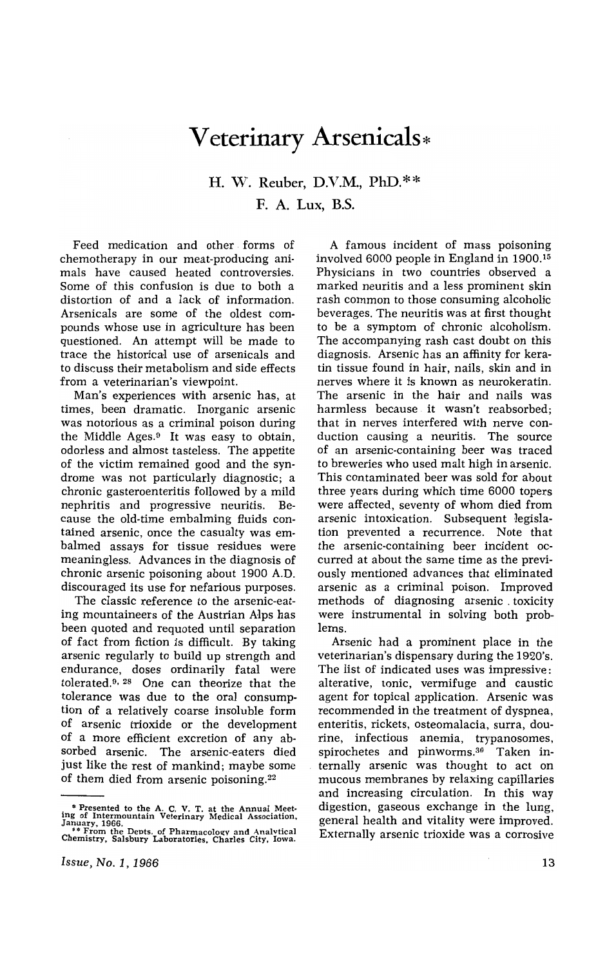## **Veterinary Arsenicals\***

## H. W. Reuber, D.V.M., PhD.\*\* F. A. Lux, B.S.

Feed medication and other forms of chemotherapy in our meat-producing animals have caused heated controversies. Some of this confusion is due to both a distortion of and a lack of information. Arsenicals are some of the oldest compounds whose use in agriculture has been questioned. An attempt will be made to trace the historical use of arsenicals and to discuss their metabolism and side effects from a veterinarian's viewpoint.

Man's experiences with arsenic has, at times, been dramatic. Inorganic arsenic was notorious as a criminal poison during the Middle Ages. $9$  It was easy to obtain, odorless and almost tasteless. The appetite of the victim remained good and the syndrome was not particularly diagnostic; a chronic gasteroenteritis followed by a mild nephritis and progressive neuritis. Because the old-time embalming fluids contained arsenic, once the casualty was embalmed assays for tissue residues were meaningless. Advances in the diagnosis of chronic arsenic poisoning about 1900 A.D. discouraged its use for nefarious purposes.

The classic reference to the arsenic-eating mountaineers of the Austrian Alps has been quoted and requoted until separation of fact from fiction is difficult. By taking arsenic regularly to build up strength and endurance, doses ordinarily fatal were tolerated.<sup>9, 28</sup> One can theorize that the tolerance was due to the oral consumption of a relatively coarse insoluble form of arsenic trioxide or the development of a more efficient excretion of any absorbed arsenic. The arsenic-eaters died just like the rest of mankind; maybe some of them died from arsenic poisoning. <sup>22</sup>

A famous incident of mass poisoning involved 6000 people in England in 1900. <sup>15</sup> Physicians in two countries observed a marked neuritis and a less prominent skin rash common to those consuming alcoholic beverages. The neuritis was at first thought to be a symptom of chronic alcoholism. The accompanying rash cast doubt on this diagnosis. Arsenic has an affinity for keratin tissue found in hair, nails, skin and in nerves where it is known as neurokeratin. The arsenic in the hair and nails was harmless because it wasn't reabsorbed; that in nerves interfered with nerve conduction causing a neuritis. The source of an arsenic-containing beer was traced to breweries who used malt high in arsenic. This contaminated beer was sold for about three years during which time 6000 topers were affected, seventy of whom died from arsenic intoxication. Subsequent legislation prevented a recurrence. Note that the arsenic-containing beer incident occurred at about the same time as the previously mentioned advances that eliminated arsenic as a criminal poison. Improved methods of diagnosing arsenic. toxicity were instrumental in solving both problems.

Arsenic had a prominent place in the veterinarian's dispensary during the 1920's. The list of indicated uses was impressive: alterative, tonic, vermifuge and caustic agent for topical application. Arsenic was recommended in the treatment of dyspnea, enteritis, rickets, osteomalacia, surra, dourine, infectious anemia, trypanosomes, spirochetes and pinworms.3o Taken internally arsenic was thought to act on mucous membranes by relaxing capillaries and increasing circulation. In this way digestion, gaseous exchange in the lung, general health and vitality were improved. Externally arsenic trioxide was a corrosive

<sup>\*</sup> Presented to the A. C. V. T. at the Annual Meeting of Intermountain Veterinary Medical Association,<br>January, 1966.<br>The Penthe Depts. of Pharmacology and Analytical<br>Chemistry, Salsbury Laboratories. Charles City, Iowa.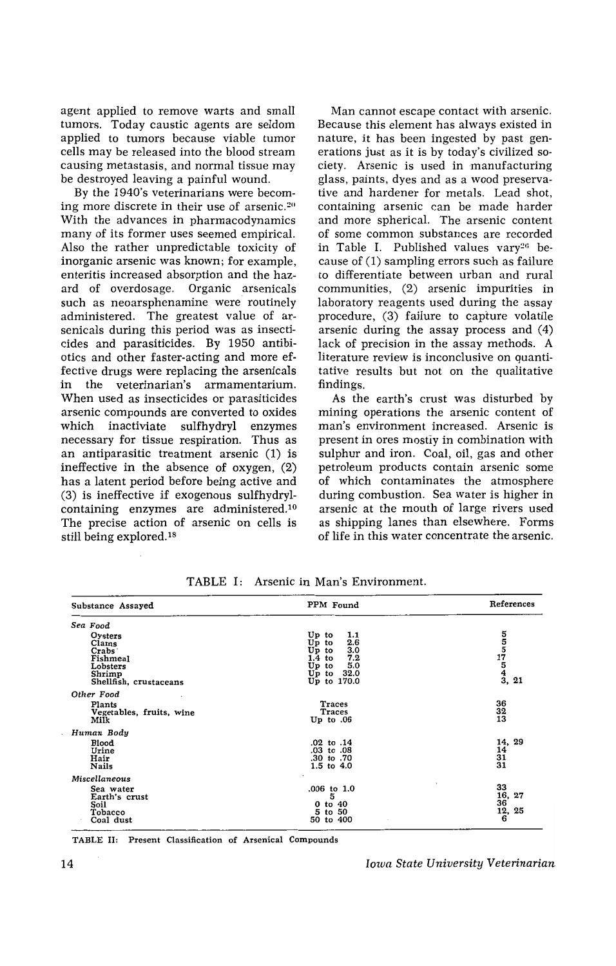agent applied to remove warts and small tumors. Today caustic agents are seldom applied to tumors because viable tumor cells may be released into the blood stream causing metastasis, and normal tissue may be destroyed leaving a painful wound.

By the 1940's veterinarians were becoming more discrete in their use of arsenic.<sup>20</sup> With the advances in pharmacodynamics many of its former uses seemed empirical. Also the rather unpredictable toxicity of inorganic arsenic was known; for example, enteritis increased absorption and the hazard of overdosage. Organic arsenicals such as neoarsphenamine were routinely administered. The greatest value of arsenicals during this period was as insecticides and parasiticides. By 1950 antibiotics and other faster-acting and more effective drugs were replacing the arsenicals in the veterinarian's armamentarium. When used as insecticides or parasiticides arsenic compounds are converted to oxides which inactiviate sulfhydryl enzymes necessary for tissue respiration. Thus as an antiparasitic treatment arsenic (1) is ineffective in the absence of oxygen, (2) has a latent period before being active and (3) is ineffective if exogenous sulfhydrylcontaining enzymes are administered.10 The precise action of arsenic on cells is still being explored.1s

Man cannot escape contact with arsenic. Because this element has always existed in nature, it has been ingested by past generations just as it is by today's civilized society. Arsenic is used in manufacturing glass, paints, dyes and as a wood preservative and hardener for metals. Lead shot, containing arsenic can be made harder and more spherical. The arsenic content of some common substances are recorded in Table I. Published values vary<sup>26</sup> because of (1) sampling errors such as failure to differentiate between urban and rural communities, (2) arsenic impurities in laboratory reagents used during the assay procedure, (3) failure to capture volatile arsenic during the assay process and (4) lack of precision in the assay methods. A literature review is inconclusive on quantitative results but not on the qualitative findings.

As the earth's crust was disturbed by mining operations the arsenic content of man's environment increased. Arsenic is present in ores mostiy in combination with sulphur and iron. Coal, oil, gas and other petroleum products contain arsenic some of which contaminates the atmosphere during combustion. Sea water is higher in arsenic at the mouth of large rivers used as shipping lanes than elsewhere. Forms of life in this water concentrate the arsenic.

| Substance Assayed                                                                                  | PPM Found                                                                                                                       | References                                                  |
|----------------------------------------------------------------------------------------------------|---------------------------------------------------------------------------------------------------------------------------------|-------------------------------------------------------------|
| Sea Food                                                                                           |                                                                                                                                 |                                                             |
| Oysters<br>Clams<br>Crabs <sup>-</sup><br>Fishmeal<br>Lobsters<br>Shrimp<br>Shellfish, crustaceans | Up to<br>1.1<br>$U_{\mathbf{p}}$ to<br>2.6<br>3.0<br>$Up$ to<br>7.2<br>$1.4$ to<br>Up to<br>5.0<br>Up to<br>32.0<br>Up to 170.0 | $\begin{array}{c} 5 \\ 5 \\ 17 \\ 4 \\ 3 \\ 21 \end{array}$ |
| Other Food                                                                                         |                                                                                                                                 |                                                             |
| Plants<br>Vegetables, fruits, wine<br>Milk                                                         | Traces<br><b>Traces</b><br>$Up$ to $.06$                                                                                        | 36<br>32<br>13                                              |
| Human Body                                                                                         |                                                                                                                                 |                                                             |
| Blood<br>Urine<br>Hair<br><b>Nails</b>                                                             | .02 to .14<br>.03 to .08<br>.30 to .70<br>1.5 to 4.0                                                                            | 14, 29<br>$\frac{14}{31}$<br>$31$                           |
| Miscellaneous                                                                                      |                                                                                                                                 |                                                             |
| Sea water<br>Earth's crust<br>Soil<br>Tobacco<br>Coal dust                                         | .006 to 1.0<br>5<br>$0$ to $40$<br>5 to 50<br>50 to 400                                                                         | 33<br>$\frac{16}{36}$ , 27<br>12, 25<br>6                   |

TABLE I: Arsenic in Man's Environment.

TABLE II: Present Classification of Arsenical Compounds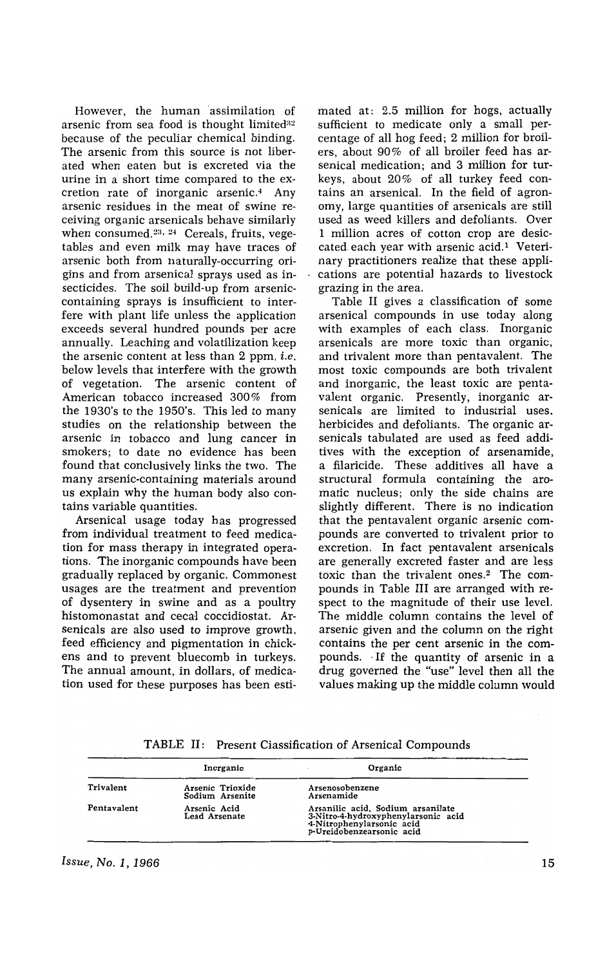However, the human assimilation of arsenic from sea food is thought limited $32$ because of the peculiar chemical binding. The arsenic from this source is not liberated when eaten but is excreted via the urine in a short time compared to the excretion rate of inorganic arsenic.4 Any arsenic residues in the meat of swine receiving organic arsenicals behave similarly when consumed. $23, 24$  Cereals, fruits, vegetables and even milk may have traces of arsenic both from naturally-occurring origins and from arsenical sprays used as insecticides. The soil build-up from arseniccontaining sprays is insufficient to interfere with plant life unless the application exceeds several hundred pounds per acre annually. Leaching and volatilization keep the arsenic content at less than 2 ppm, *i.e.*  below levels that interfere with the growth of vegetation. The arsenic content of American tobacco increased 300% from the 1930's to the 1950's. This led to many studies on the relationship between the arsenic in tobacco and lung cancer in smokers; to date no evidence has been found that conclusively links the two. The many arsenic-containing materials around us explain why the human body also contains variable quantities.

Arsenical usage today has progressed from individual treatment to feed medication for mass therapy in integrated operations. The inorganic compounds have been gradually replaced by organic. Commonest usages are the treatment and prevention of dysentery in swine and as a poultry histomonastat and cecal coccidiostat. Arsenicals are also used to improve growth, feed efficiency and pigmentation in chickens and to prevent bluecomb in turkeys. The annual amount, in dollars, of medication used for these purposes has been estimated at: 2.5 million for hogs, actually sufficient to medicate only a small percentage of all hog feed; 2 million for broilers, about 90% of all broiler feed has arsenical medication; and 3 million for turkeys, about 20% of all turkey feed contains an arsenical. In the field of agronomy, large quantities of arsenicals are still used as weed killers and defoliants. Over 1 million acres of cotton crop are desiccated each year with arsenic acid.<sup>1</sup> Veterinary practitioners realize that these applications are potential hazards to livestock grazing in the area.

Table II gives a classification of some arsenical compounds in use today along with examples of each class. Inorganic arsenicals are more toxic than organic, and trivalent more than pentavalent. The most toxic compounds are both trivalent and inorganic, the least toxic are pentavalent organic. Presently, inorganic arsenicals are limited to industrial uses, herbicides and defoliants. The organic arsenicals tabulated are used as feed additives with the exception of arsenamide, a filaricide. These additives all have a structural formula containing the aromatic nucleus; only the side chains are slightly different. There is no indication that the pentavalent organic arsenic compounds are converted to trivalent prior to excretion. In fact pentavalent arsenicals are generally excreted faster and are less toxic than the trivalent ones.2 The compounds in Table **III** are arranged with respect to the magnitude of their use level. The middle column contains the level of arsenic given and the column on the right contains the per cent arsenic in the compounds. "If the quantity of arsenic in a drug governed the "use" level then all the values making up the middle column would

|             | Inorganic                           | Organic                                                                                                                            |  |
|-------------|-------------------------------------|------------------------------------------------------------------------------------------------------------------------------------|--|
| Trivalent   | Arsenic Trioxide<br>Sodium Arsenite | Arsenosobenzene<br>Arsenamide                                                                                                      |  |
| Pentavalent | Arsenic Acid<br>Lead Arsenate       | Arsanilic acid, Sodium arsanilate<br>3-Nitro-4-hydroxyphenylarsonic acid<br>4-Nitrophenylarsonic acid<br>p-Ureidobenzearsonic acid |  |

TABLE II: Present Ciassification of Arsenical Compounds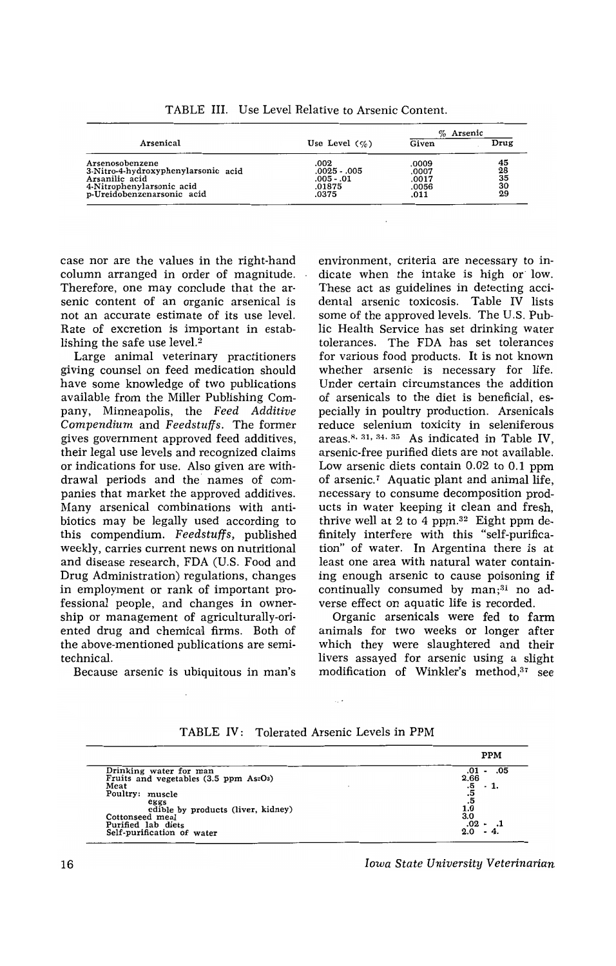|                                                                                                                                     |                                                         | $%$ Arsenic                              |                                   |
|-------------------------------------------------------------------------------------------------------------------------------------|---------------------------------------------------------|------------------------------------------|-----------------------------------|
| Arsenical                                                                                                                           | Use Level $(\% )$                                       | Given                                    | Drug                              |
| Arsenosobenzene<br>3-Nitro-4-hydroxyphenylarsonic acid<br>Arsanilic acid<br>4-Nitrophenylarsonic acid<br>p-Ureidobenzenarsonic acid | .002<br>.0025 - .005<br>$.005 - .01$<br>.01875<br>.0375 | .0009<br>.0007<br>.0017<br>.0056<br>.011 | $\frac{45}{28}$<br>35<br>30<br>29 |

TABLE III. Use Level Relative to Arsenic Content.

case nor are the values in the right-hand column arranged in order of magnitude. Therefore, one may conclude that the arsenic content of an organic arsenical is not an accurate estimate of its use level. Rate of excretion is important in establishing the safe use level.<sup>2</sup>

Large animal veterinary practitioners giving counsel on feed medication should have some knowledge of two publications available from the Miller Publishing Company, Minneapolis, the *Feed Additive Compendium* and *Feedstuffs.* The former gives government approved feed additives, their legal use levels and recognized claims or indications for use. Also given are withdrawal periods and the names of companies that market the approved additives. Many arsenical combinations with antibiotics may be legally used according to this compendium\_ *Feedstuffs,* published weekly, carries current news on nutritional and disease research, FDA (U.S. Food and Drug Administration) regulations, changes in employment or rank of important professional people, and changes in ownership or management of agriculturally-oriented drug and chemical firms. Both of the above-mentioned publications are semitechnical.

Because arsenic is ubiquitous in man's

environment, criteria are necessary to indicate when the intake is high or low. These act as guidelines in detecting accidental arsenic toxicosis. Table IV lists some of the approved levels. The U.S. Public Health Service has set drinking water tolerances. The FDA has set tolerances for various food products. It is not known whether arsenic is necessary for life. Under certain circumstances the addition of arsenicals to the diet is beneficial, especiaHy in poultry production. Arsenicals reduce selenium toxicity in seleniferous areas.<sup>8, 31, 34, 35</sup> As indicated in Table IV, arsenic-free purified diets are not available. Low arsenic diets contain 0.02 to 0.1 ppm of arsenic.7 Aquatic plant and animal life, necessary to consume decomposition products in water keeping it clean and fresh, thrive well at 2 to 4 ppm.<sup>32</sup> Eight ppm definitely interfere with this "self-purification" of water. In Argentina there is at least one area with natural water containing enough arsenic to cause poisoning if continually consumed by  $man;^{31}$  no adverse effect on aquatic life is recorded.

Organic arsenicals were fed to farm animals for two weeks or longer after which they were slaughtered and their livers assayed for arsenic using a slight modification of Winkler's method,37 see

|                                           | ₽РМ            |
|-------------------------------------------|----------------|
| Drinking water for man                    | .05<br>.01     |
| Fruits and vegetables $(3.5$ ppm $As2O3)$ | 2.66           |
| Meat                                      | .5<br>$-1.$    |
| Poultry: muscle                           | $\frac{15}{5}$ |
| eggs                                      |                |
| edible by products (liver, kidney)        | 1.0            |
| Cottonseed meal                           | 3.0            |
| Purified lab diets                        | .02            |
| Self-purification of water                | 2.0            |

TABLE IV: Tolerated Arsenic Levels in PPM

*Iowa State University Veterinarian* 

pp<sub>m</sub>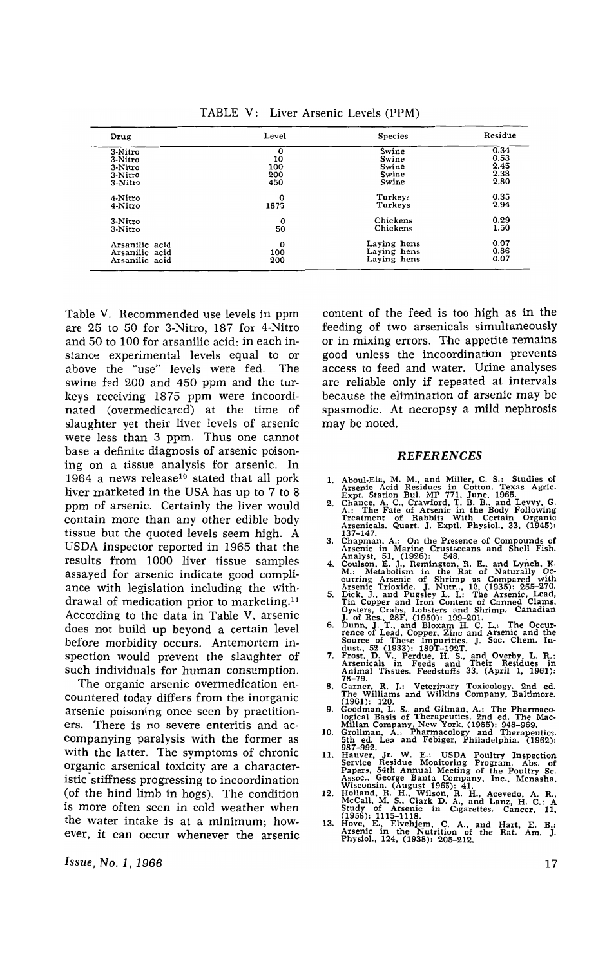TABLE V: Liver Arsenic Levels (PPM)

| Drug           | Level       | <b>Species</b> | Residue |
|----------------|-------------|----------------|---------|
| 3-Nitro        | $\bf o$     | Swine          | 0.34    |
| 3-Nitro        | 10          | Swine          | 0.53    |
| 3-Nitro        | 100         | Swine          | 2.45    |
| 3-Nitro        | 200         | Swine          | 2.38    |
| 3-Nitro        | 450         | Swine          | 2.80    |
| 4-Nitro        | $\mathbf 0$ | Turkeys        | 0.35    |
| 4-Nitro        | 1875        | Turkeys        | 2.94    |
| 3-Nitro        | 0           | Chickens       | 0.29    |
| 3-Nitro        | 50          | Chickens       | 1.50    |
| Arsanilic acid | 0           | Laying hens    | 0.07    |
| Arsanilic acid | 100         | Laying hens    | 0.86    |
| Arsanilic acid | 200         | Laying hens    | 0.07    |

Table V. Recommended use levels in ppm are 25 to 50 for 3-Nitro, 187 for 4-Nitro and 50 to 100 for arsanilic acid; in each instance experimental levels equal to or above the "use" levels were fed. The swine fed 200 and 450 ppm and the turkeys receiving 1875 ppm were incoordinated (overmedicated) at the time of slaughter yet their liver levels of arsenic were less than 3 ppm. Thus one cannot base a definite diagnosis of arsenic poisoning on a tissue analysis for arsenic. In 1964 a news release19 stated that all pork liver marketed in the USA has up to 7 to 8 ppm of arsenic. Certainly the liver would contain more than any other edible body tissue but the quoted levels seem high. A USDA inspector reported in 1965 that the results from 1000 liver tissue samples assayed for arsenic indicate good compliance with legislation including the withdrawal of medication prior to marketing.!l According to the data in Table V, arsenic does not build up beyond a certain level before morbidity occurs. Antemortem inspection would prevent the slaughter of such individuals for human consumption.

The organic arsenic overmedication encountered today differs from the inorganic arsenic poisoning once seen by practitioners. There is no severe enteritis and accompanying paralysis with the former as with the latter. The symptoms of chronic organic arsenical toxicity are a characteristic stiffness progressing to incoordination (of the hind limb in hogs). The condition is more often seen in cold weather when the water intake is at a minimum; however, it can occur whenever the arsenic

*Issue, No.1, 1966* 

content of the feed is too high as in the feeding of two arsenicals simultaneously or in mixing errors. The appetite remains good unless the incoordination prevents access to feed and water. Urine analyses are reliable only if repeated at intervals because the elimination of arsenic may be spasmodic. At necropsy a mild nephrosis may be noted.

## REFERENCES

- 
- 1. Aboul-Ela, M. M., and Miller, C. S.: Studies of Arsenic Acid Residues in Cotton. Texas Agric.<br>Expt. Station Bul. MP 771, June, 1965.<br>Expt. Station Bul. MP 771, June, 1965.<br>2. Chance, A. C., Crawford, T. B. B., and Levvy
- 
- 
- 
- 137–147.<br>
3. Chapman, A.: On the Presence of Compounds of<br>
Arsenic in Marine Crustaceans and Shell Fish.<br>
4. Coulson, E. J., Remington, R. E., and Lynch, K.<br>
4. Coulson, E. J., Remington, R. E., and Lynch, K.<br>
M.: Metaboli
- 
- 
- 
- The Williams and Wilkin's Company, Baltimore.<br>
(1961): 120.<br>
Goodman, L. S., and Gilman, A.: The Pharmaco-<br>
logical Basis of Therapeutics. 2nd ed. The Mac-<br>
Millan Company, New York. (1955): 948–969.<br>
10. Grollman, A.: Pha
- 11. Hauver, Jr. W. E.: USDA Poultry Inspection<br>
Service Residue Monitoring Program. Abs. of<br>
Papers, 54th Annual Meeting of the Poultry Sc.<br>
Assoc., George Banta Company, Inc., Menasha,<br>
Wisconsin. (August 1965): 41.<br>
Holl
- 
- 

17